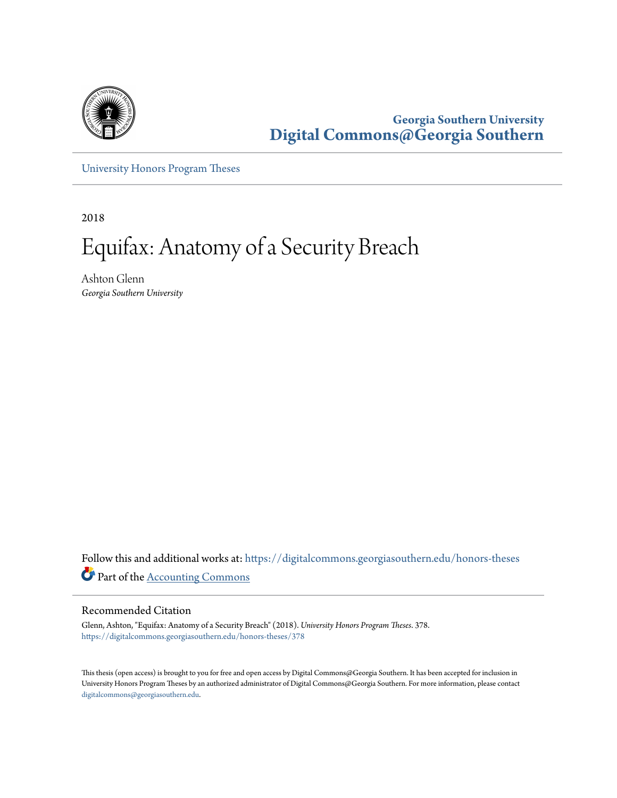

**Georgia Southern University [Digital Commons@Georgia Southern](https://digitalcommons.georgiasouthern.edu?utm_source=digitalcommons.georgiasouthern.edu%2Fhonors-theses%2F378&utm_medium=PDF&utm_campaign=PDFCoverPages)**

[University Honors Program Theses](https://digitalcommons.georgiasouthern.edu/honors-theses?utm_source=digitalcommons.georgiasouthern.edu%2Fhonors-theses%2F378&utm_medium=PDF&utm_campaign=PDFCoverPages)

2018

# Equifax: Anatomy of a Security Breach

Ashton Glenn *Georgia Southern University*

Follow this and additional works at: [https://digitalcommons.georgiasouthern.edu/honors-theses](https://digitalcommons.georgiasouthern.edu/honors-theses?utm_source=digitalcommons.georgiasouthern.edu%2Fhonors-theses%2F378&utm_medium=PDF&utm_campaign=PDFCoverPages) Part of the [Accounting Commons](http://network.bepress.com/hgg/discipline/625?utm_source=digitalcommons.georgiasouthern.edu%2Fhonors-theses%2F378&utm_medium=PDF&utm_campaign=PDFCoverPages)

#### Recommended Citation

Glenn, Ashton, "Equifax: Anatomy of a Security Breach" (2018). *University Honors Program Theses*. 378. [https://digitalcommons.georgiasouthern.edu/honors-theses/378](https://digitalcommons.georgiasouthern.edu/honors-theses/378?utm_source=digitalcommons.georgiasouthern.edu%2Fhonors-theses%2F378&utm_medium=PDF&utm_campaign=PDFCoverPages)

This thesis (open access) is brought to you for free and open access by Digital Commons@Georgia Southern. It has been accepted for inclusion in University Honors Program Theses by an authorized administrator of Digital Commons@Georgia Southern. For more information, please contact [digitalcommons@georgiasouthern.edu.](mailto:digitalcommons@georgiasouthern.edu)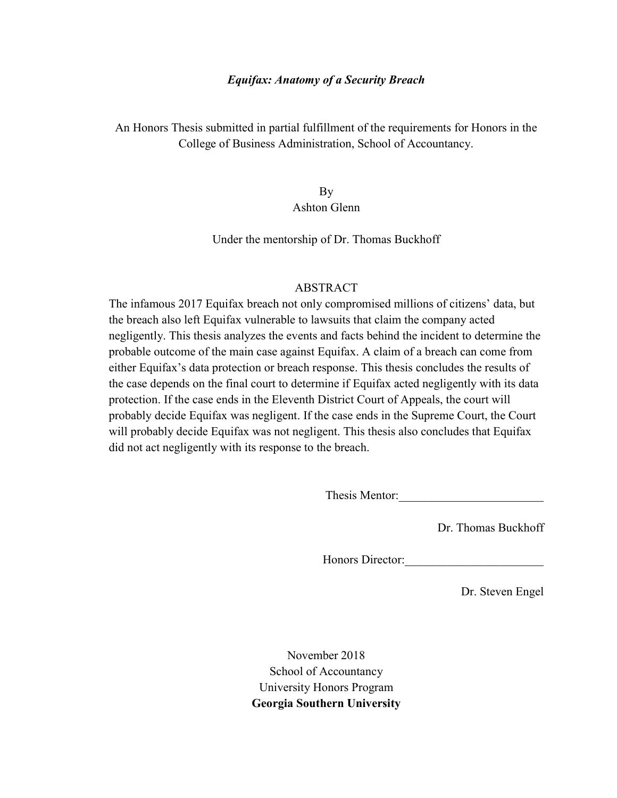## Equifax: Anatomy of a Security Breach

An Honors Thesis submitted in partial fulfillment of the requirements for Honors in the College of Business Administration, School of Accountancy.

> By Ashton Glenn

Under the mentorship of Dr. Thomas Buckhoff

## ABSTRACT

The infamous 2017 Equifax breach not only compromised millions of citizens' data, but the breach also left Equifax vulnerable to lawsuits that claim the company acted negligently. This thesis analyzes the events and facts behind the incident to determine the probable outcome of the main case against Equifax. A claim of a breach can come from either Equifax's data protection or breach response. This thesis concludes the results of the case depends on the final court to determine if Equifax acted negligently with its data protection. If the case ends in the Eleventh District Court of Appeals, the court will probably decide Equifax was negligent. If the case ends in the Supreme Court, the Court will probably decide Equifax was not negligent. This thesis also concludes that Equifax did not act negligently with its response to the breach.

Thesis Mentor:

Dr. Thomas Buckhoff

Honors Director:\_\_\_\_\_\_\_\_\_\_\_\_\_\_\_\_\_\_\_\_\_\_\_

Dr. Steven Engel

November 2018 School of Accountancy University Honors Program Georgia Southern University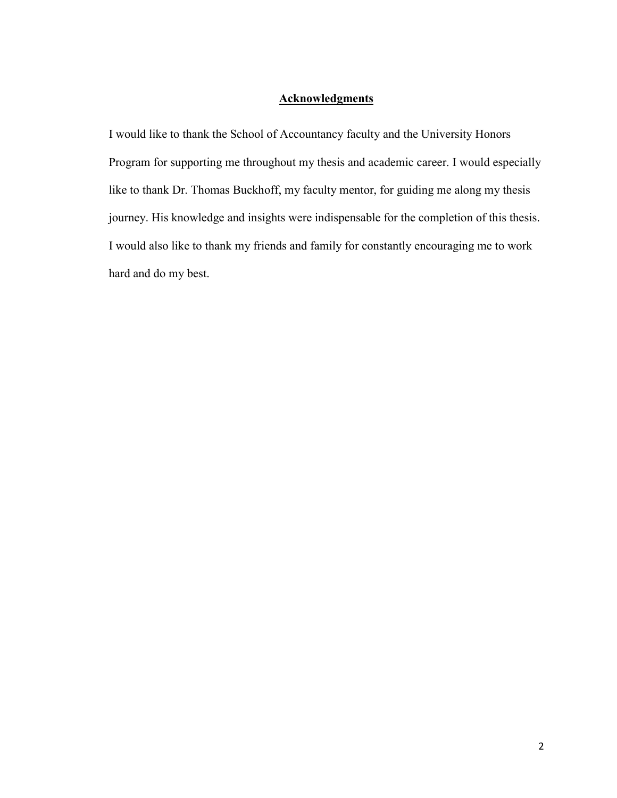# **Acknowledgments**

I would like to thank the School of Accountancy faculty and the University Honors Program for supporting me throughout my thesis and academic career. I would especially like to thank Dr. Thomas Buckhoff, my faculty mentor, for guiding me along my thesis journey. His knowledge and insights were indispensable for the completion of this thesis. I would also like to thank my friends and family for constantly encouraging me to work hard and do my best.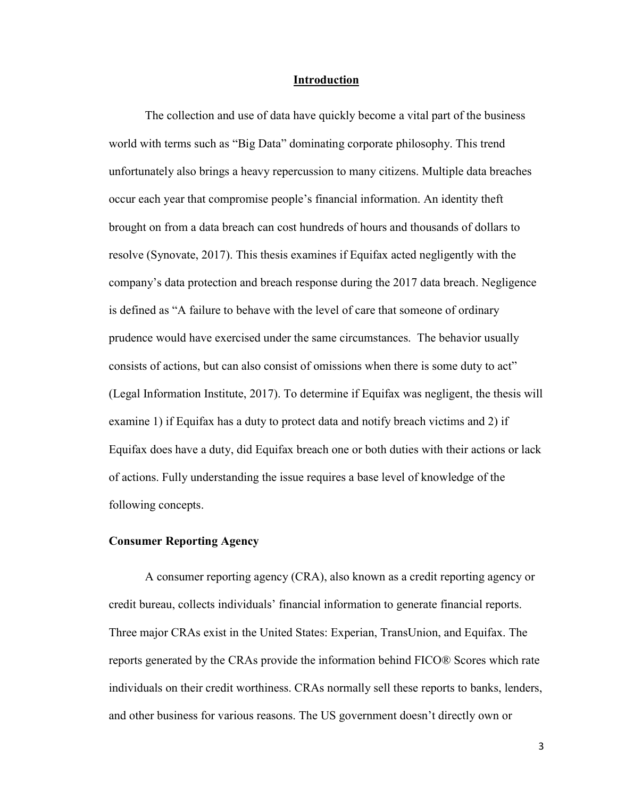#### Introduction

The collection and use of data have quickly become a vital part of the business world with terms such as "Big Data" dominating corporate philosophy. This trend unfortunately also brings a heavy repercussion to many citizens. Multiple data breaches occur each year that compromise people's financial information. An identity theft brought on from a data breach can cost hundreds of hours and thousands of dollars to resolve (Synovate, 2017). This thesis examines if Equifax acted negligently with the company's data protection and breach response during the 2017 data breach. Negligence is defined as "A failure to behave with the level of care that someone of ordinary prudence would have exercised under the same circumstances. The behavior usually consists of actions, but can also consist of omissions when there is some duty to act" (Legal Information Institute, 2017). To determine if Equifax was negligent, the thesis will examine 1) if Equifax has a duty to protect data and notify breach victims and 2) if Equifax does have a duty, did Equifax breach one or both duties with their actions or lack of actions. Fully understanding the issue requires a base level of knowledge of the following concepts.

#### Consumer Reporting Agency

A consumer reporting agency (CRA), also known as a credit reporting agency or credit bureau, collects individuals' financial information to generate financial reports. Three major CRAs exist in the United States: Experian, TransUnion, and Equifax. The reports generated by the CRAs provide the information behind FICO® Scores which rate individuals on their credit worthiness. CRAs normally sell these reports to banks, lenders, and other business for various reasons. The US government doesn't directly own or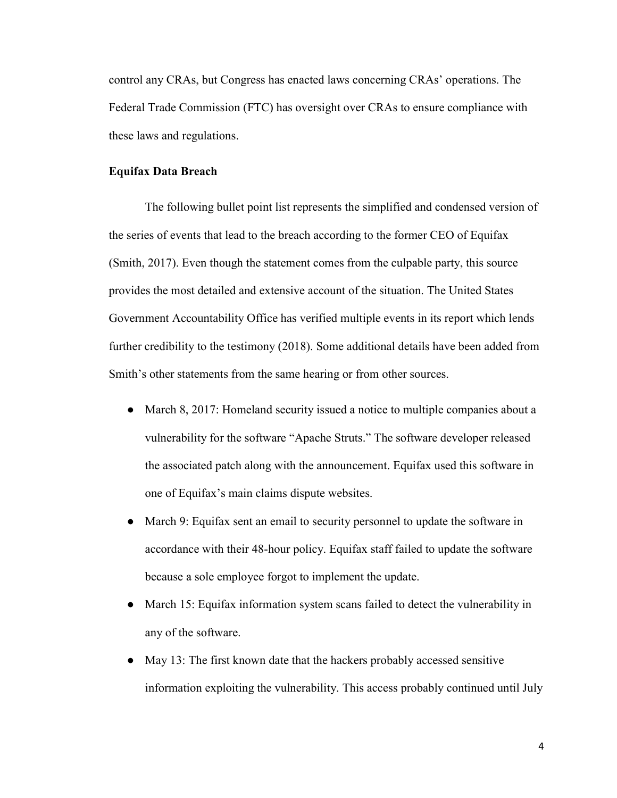control any CRAs, but Congress has enacted laws concerning CRAs' operations. The Federal Trade Commission (FTC) has oversight over CRAs to ensure compliance with these laws and regulations.

## Equifax Data Breach

The following bullet point list represents the simplified and condensed version of the series of events that lead to the breach according to the former CEO of Equifax (Smith, 2017). Even though the statement comes from the culpable party, this source provides the most detailed and extensive account of the situation. The United States Government Accountability Office has verified multiple events in its report which lends further credibility to the testimony (2018). Some additional details have been added from Smith's other statements from the same hearing or from other sources.

- March 8, 2017: Homeland security issued a notice to multiple companies about a vulnerability for the software "Apache Struts." The software developer released the associated patch along with the announcement. Equifax used this software in one of Equifax's main claims dispute websites.
- March 9: Equifax sent an email to security personnel to update the software in accordance with their 48-hour policy. Equifax staff failed to update the software because a sole employee forgot to implement the update.
- March 15: Equifax information system scans failed to detect the vulnerability in any of the software.
- May 13: The first known date that the hackers probably accessed sensitive information exploiting the vulnerability. This access probably continued until July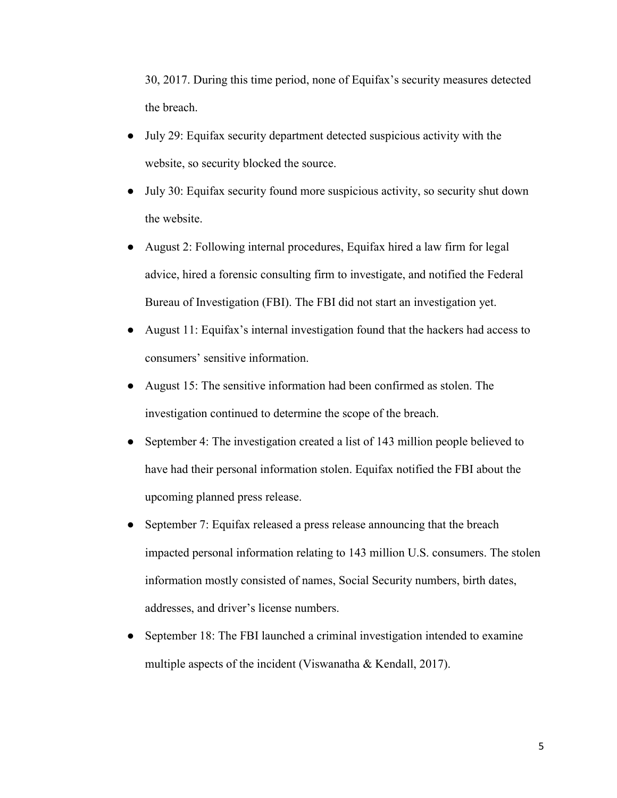30, 2017. During this time period, none of Equifax's security measures detected the breach.

- July 29: Equifax security department detected suspicious activity with the website, so security blocked the source.
- July 30: Equifax security found more suspicious activity, so security shut down the website.
- August 2: Following internal procedures, Equifax hired a law firm for legal advice, hired a forensic consulting firm to investigate, and notified the Federal Bureau of Investigation (FBI). The FBI did not start an investigation yet.
- August 11: Equifax's internal investigation found that the hackers had access to consumers' sensitive information.
- August 15: The sensitive information had been confirmed as stolen. The investigation continued to determine the scope of the breach.
- September 4: The investigation created a list of 143 million people believed to have had their personal information stolen. Equifax notified the FBI about the upcoming planned press release.
- September 7: Equifax released a press release announcing that the breach impacted personal information relating to 143 million U.S. consumers. The stolen information mostly consisted of names, Social Security numbers, birth dates, addresses, and driver's license numbers.
- September 18: The FBI launched a criminal investigation intended to examine multiple aspects of the incident (Viswanatha & Kendall, 2017).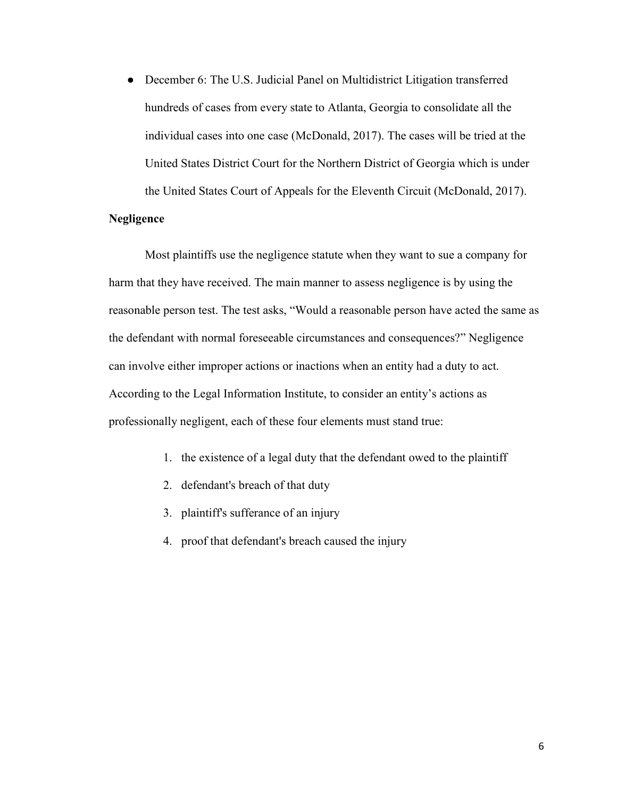• December 6: The U.S. Judicial Panel on Multidistrict Litigation transferred hundreds of cases from every state to Atlanta, Georgia to consolidate all the individual cases into one case (McDonald, 2017). The cases will be tried at the United States District Court for the Northern District of Georgia which is under the United States Court of Appeals for the Eleventh Circuit (McDonald, 2017).

## Negligence

Most plaintiffs use the negligence statute when they want to sue a company for harm that they have received. The main manner to assess negligence is by using the reasonable person test. The test asks, "Would a reasonable person have acted the same as the defendant with normal foreseeable circumstances and consequences?" Negligence can involve either improper actions or inactions when an entity had a duty to act. According to the Legal Information Institute, to consider an entity's actions as professionally negligent, each of these four elements must stand true:

- 1. the existence of a legal duty that the defendant owed to the plaintiff
- 2. defendant's breach of that duty
- 3. plaintiff's sufferance of an injury
- 4. proof that defendant's breach caused the injury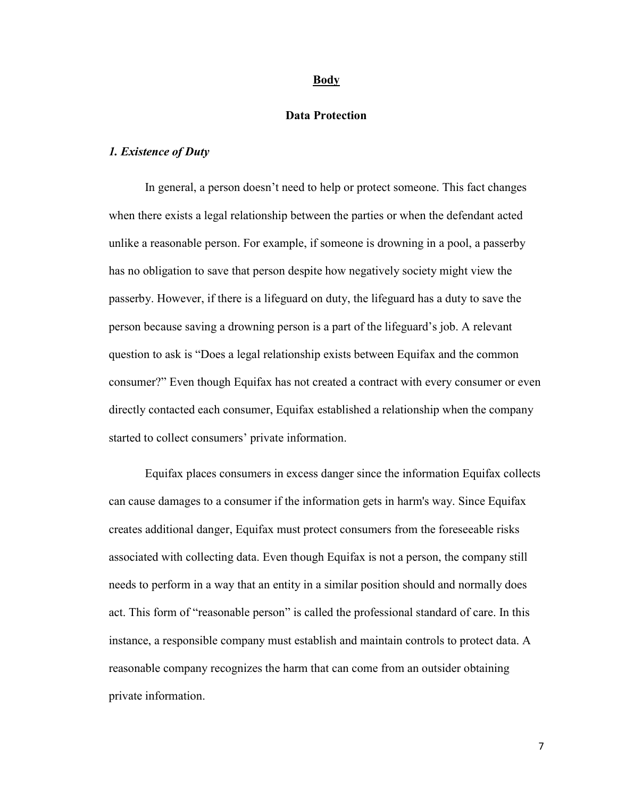#### Body

## Data Protection

#### 1. Existence of Duty

In general, a person doesn't need to help or protect someone. This fact changes when there exists a legal relationship between the parties or when the defendant acted unlike a reasonable person. For example, if someone is drowning in a pool, a passerby has no obligation to save that person despite how negatively society might view the passerby. However, if there is a lifeguard on duty, the lifeguard has a duty to save the person because saving a drowning person is a part of the lifeguard's job. A relevant question to ask is "Does a legal relationship exists between Equifax and the common consumer?" Even though Equifax has not created a contract with every consumer or even directly contacted each consumer, Equifax established a relationship when the company started to collect consumers' private information.

Equifax places consumers in excess danger since the information Equifax collects can cause damages to a consumer if the information gets in harm's way. Since Equifax creates additional danger, Equifax must protect consumers from the foreseeable risks associated with collecting data. Even though Equifax is not a person, the company still needs to perform in a way that an entity in a similar position should and normally does act. This form of "reasonable person" is called the professional standard of care. In this instance, a responsible company must establish and maintain controls to protect data. A reasonable company recognizes the harm that can come from an outsider obtaining private information.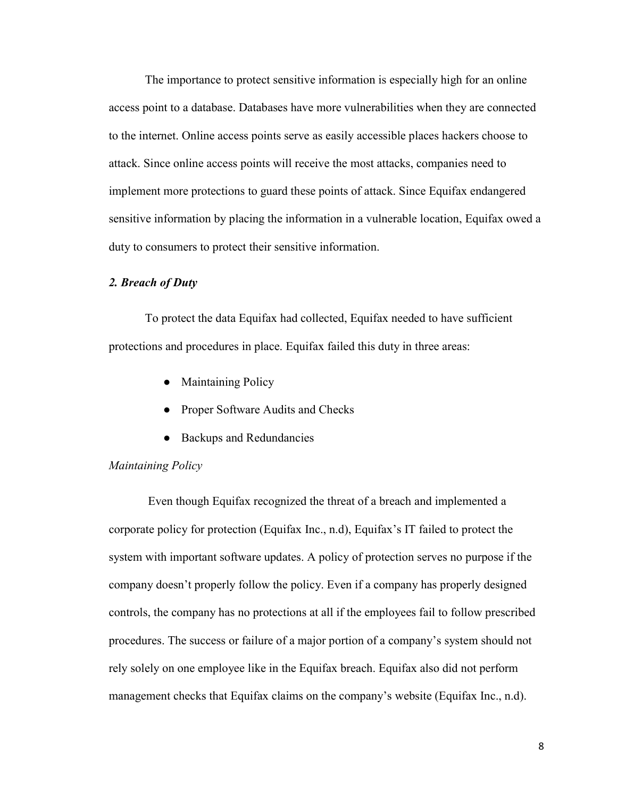The importance to protect sensitive information is especially high for an online access point to a database. Databases have more vulnerabilities when they are connected to the internet. Online access points serve as easily accessible places hackers choose to attack. Since online access points will receive the most attacks, companies need to implement more protections to guard these points of attack. Since Equifax endangered sensitive information by placing the information in a vulnerable location, Equifax owed a duty to consumers to protect their sensitive information.

## 2. Breach of Duty

To protect the data Equifax had collected, Equifax needed to have sufficient protections and procedures in place. Equifax failed this duty in three areas:

- Maintaining Policy
- Proper Software Audits and Checks
- Backups and Redundancies

#### Maintaining Policy

 Even though Equifax recognized the threat of a breach and implemented a corporate policy for protection (Equifax Inc., n.d), Equifax's IT failed to protect the system with important software updates. A policy of protection serves no purpose if the company doesn't properly follow the policy. Even if a company has properly designed controls, the company has no protections at all if the employees fail to follow prescribed procedures. The success or failure of a major portion of a company's system should not rely solely on one employee like in the Equifax breach. Equifax also did not perform management checks that Equifax claims on the company's website (Equifax Inc., n.d).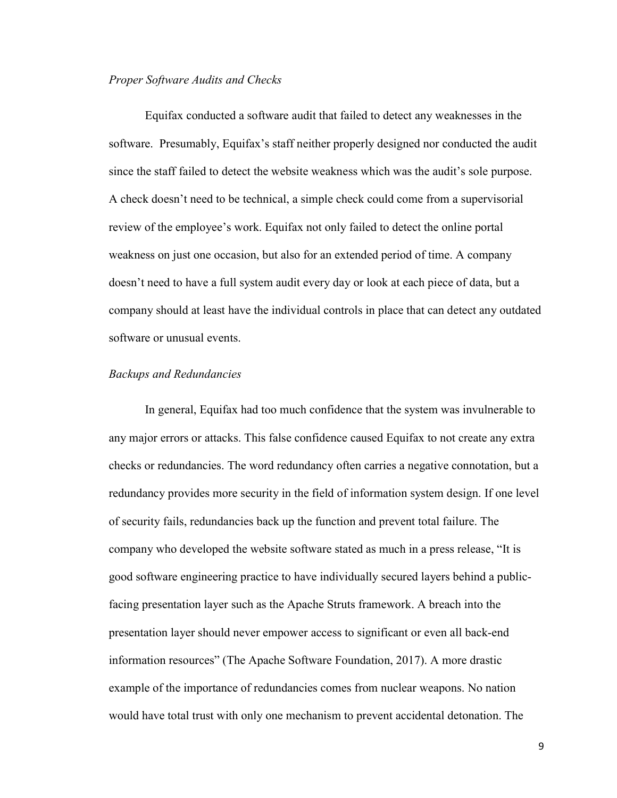#### Proper Software Audits and Checks

Equifax conducted a software audit that failed to detect any weaknesses in the software. Presumably, Equifax's staff neither properly designed nor conducted the audit since the staff failed to detect the website weakness which was the audit's sole purpose. A check doesn't need to be technical, a simple check could come from a supervisorial review of the employee's work. Equifax not only failed to detect the online portal weakness on just one occasion, but also for an extended period of time. A company doesn't need to have a full system audit every day or look at each piece of data, but a company should at least have the individual controls in place that can detect any outdated software or unusual events.

#### Backups and Redundancies

In general, Equifax had too much confidence that the system was invulnerable to any major errors or attacks. This false confidence caused Equifax to not create any extra checks or redundancies. The word redundancy often carries a negative connotation, but a redundancy provides more security in the field of information system design. If one level of security fails, redundancies back up the function and prevent total failure. The company who developed the website software stated as much in a press release, "It is good software engineering practice to have individually secured layers behind a publicfacing presentation layer such as the Apache Struts framework. A breach into the presentation layer should never empower access to significant or even all back-end information resources" (The Apache Software Foundation, 2017). A more drastic example of the importance of redundancies comes from nuclear weapons. No nation would have total trust with only one mechanism to prevent accidental detonation. The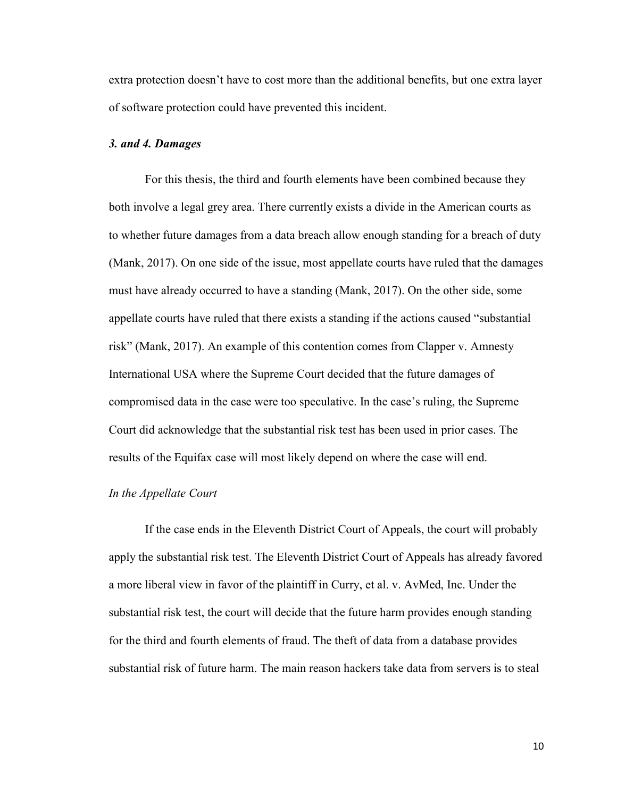extra protection doesn't have to cost more than the additional benefits, but one extra layer of software protection could have prevented this incident.

## 3. and 4. Damages

For this thesis, the third and fourth elements have been combined because they both involve a legal grey area. There currently exists a divide in the American courts as to whether future damages from a data breach allow enough standing for a breach of duty (Mank, 2017). On one side of the issue, most appellate courts have ruled that the damages must have already occurred to have a standing (Mank, 2017). On the other side, some appellate courts have ruled that there exists a standing if the actions caused "substantial risk" (Mank, 2017). An example of this contention comes from Clapper v. Amnesty International USA where the Supreme Court decided that the future damages of compromised data in the case were too speculative. In the case's ruling, the Supreme Court did acknowledge that the substantial risk test has been used in prior cases. The results of the Equifax case will most likely depend on where the case will end.

#### In the Appellate Court

If the case ends in the Eleventh District Court of Appeals, the court will probably apply the substantial risk test. The Eleventh District Court of Appeals has already favored a more liberal view in favor of the plaintiff in Curry, et al. v. AvMed, Inc. Under the substantial risk test, the court will decide that the future harm provides enough standing for the third and fourth elements of fraud. The theft of data from a database provides substantial risk of future harm. The main reason hackers take data from servers is to steal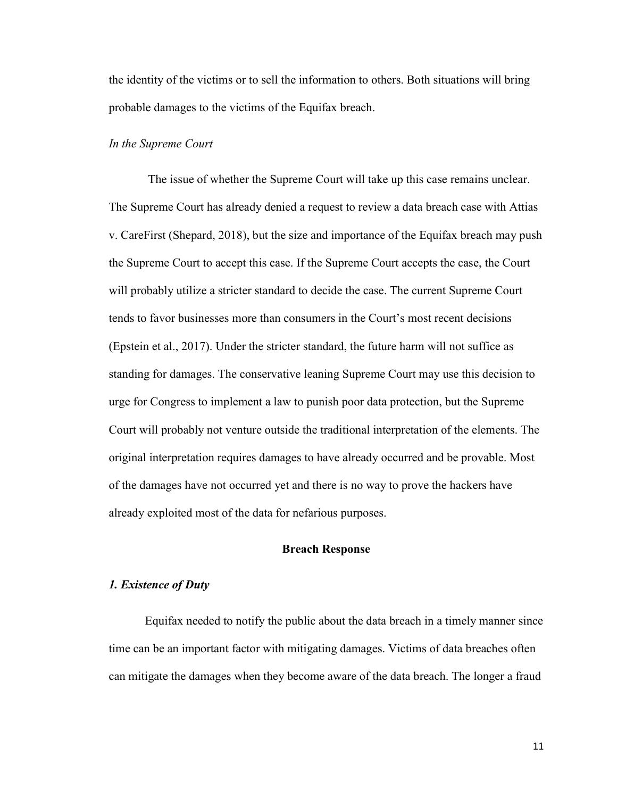the identity of the victims or to sell the information to others. Both situations will bring probable damages to the victims of the Equifax breach.

## In the Supreme Court

 The issue of whether the Supreme Court will take up this case remains unclear. The Supreme Court has already denied a request to review a data breach case with Attias v. CareFirst (Shepard, 2018), but the size and importance of the Equifax breach may push the Supreme Court to accept this case. If the Supreme Court accepts the case, the Court will probably utilize a stricter standard to decide the case. The current Supreme Court tends to favor businesses more than consumers in the Court's most recent decisions (Epstein et al., 2017). Under the stricter standard, the future harm will not suffice as standing for damages. The conservative leaning Supreme Court may use this decision to urge for Congress to implement a law to punish poor data protection, but the Supreme Court will probably not venture outside the traditional interpretation of the elements. The original interpretation requires damages to have already occurred and be provable. Most of the damages have not occurred yet and there is no way to prove the hackers have already exploited most of the data for nefarious purposes.

## Breach Response

#### 1. Existence of Duty

Equifax needed to notify the public about the data breach in a timely manner since time can be an important factor with mitigating damages. Victims of data breaches often can mitigate the damages when they become aware of the data breach. The longer a fraud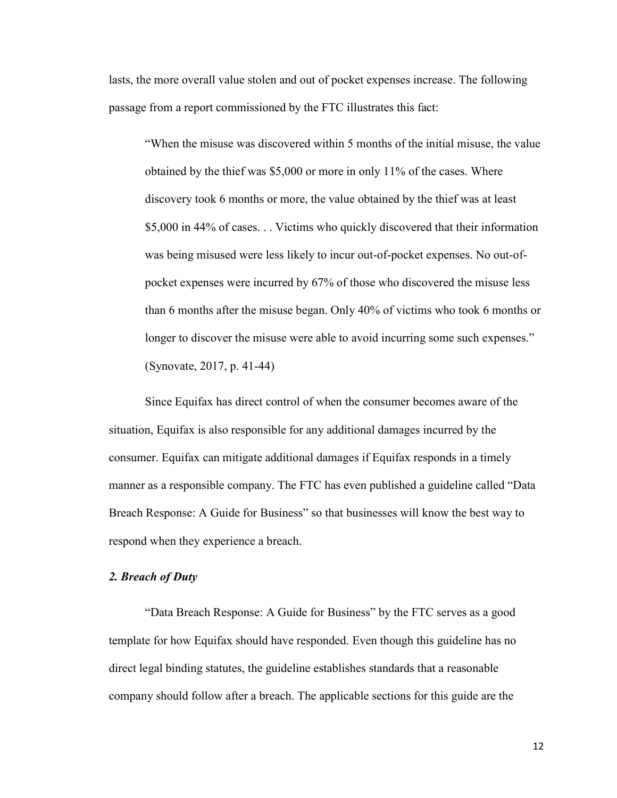lasts, the more overall value stolen and out of pocket expenses increase. The following passage from a report commissioned by the FTC illustrates this fact:

"When the misuse was discovered within 5 months of the initial misuse, the value obtained by the thief was \$5,000 or more in only 11% of the cases. Where discovery took 6 months or more, the value obtained by the thief was at least \$5,000 in 44% of cases. . . Victims who quickly discovered that their information was being misused were less likely to incur out-of-pocket expenses. No out-ofpocket expenses were incurred by 67% of those who discovered the misuse less than 6 months after the misuse began. Only 40% of victims who took 6 months or longer to discover the misuse were able to avoid incurring some such expenses." (Synovate, 2017, p. 41-44)

Since Equifax has direct control of when the consumer becomes aware of the situation, Equifax is also responsible for any additional damages incurred by the consumer. Equifax can mitigate additional damages if Equifax responds in a timely manner as a responsible company. The FTC has even published a guideline called "Data Breach Response: A Guide for Business" so that businesses will know the best way to respond when they experience a breach.

## 2. Breach of Duty

"Data Breach Response: A Guide for Business" by the FTC serves as a good template for how Equifax should have responded. Even though this guideline has no direct legal binding statutes, the guideline establishes standards that a reasonable company should follow after a breach. The applicable sections for this guide are the

12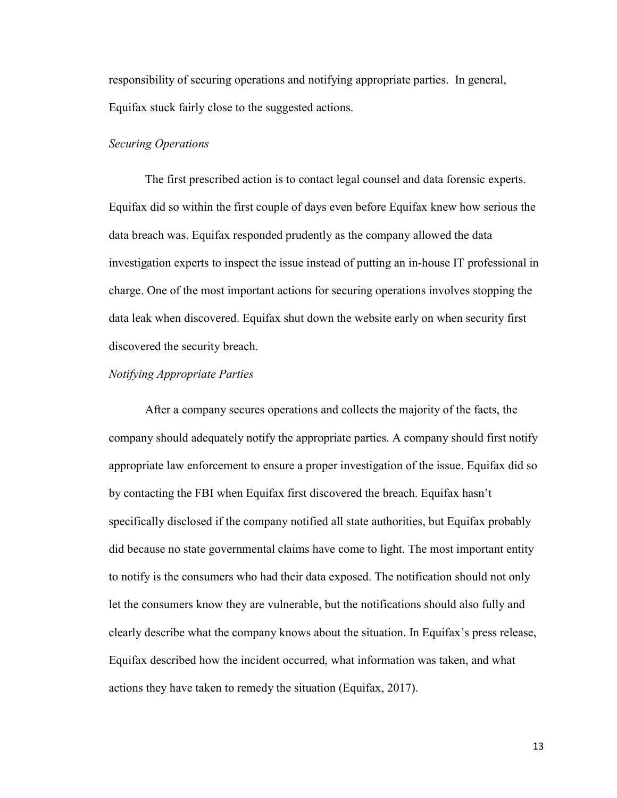responsibility of securing operations and notifying appropriate parties. In general, Equifax stuck fairly close to the suggested actions.

## Securing Operations

The first prescribed action is to contact legal counsel and data forensic experts. Equifax did so within the first couple of days even before Equifax knew how serious the data breach was. Equifax responded prudently as the company allowed the data investigation experts to inspect the issue instead of putting an in-house IT professional in charge. One of the most important actions for securing operations involves stopping the data leak when discovered. Equifax shut down the website early on when security first discovered the security breach.

## Notifying Appropriate Parties

 After a company secures operations and collects the majority of the facts, the company should adequately notify the appropriate parties. A company should first notify appropriate law enforcement to ensure a proper investigation of the issue. Equifax did so by contacting the FBI when Equifax first discovered the breach. Equifax hasn't specifically disclosed if the company notified all state authorities, but Equifax probably did because no state governmental claims have come to light. The most important entity to notify is the consumers who had their data exposed. The notification should not only let the consumers know they are vulnerable, but the notifications should also fully and clearly describe what the company knows about the situation. In Equifax's press release, Equifax described how the incident occurred, what information was taken, and what actions they have taken to remedy the situation (Equifax, 2017).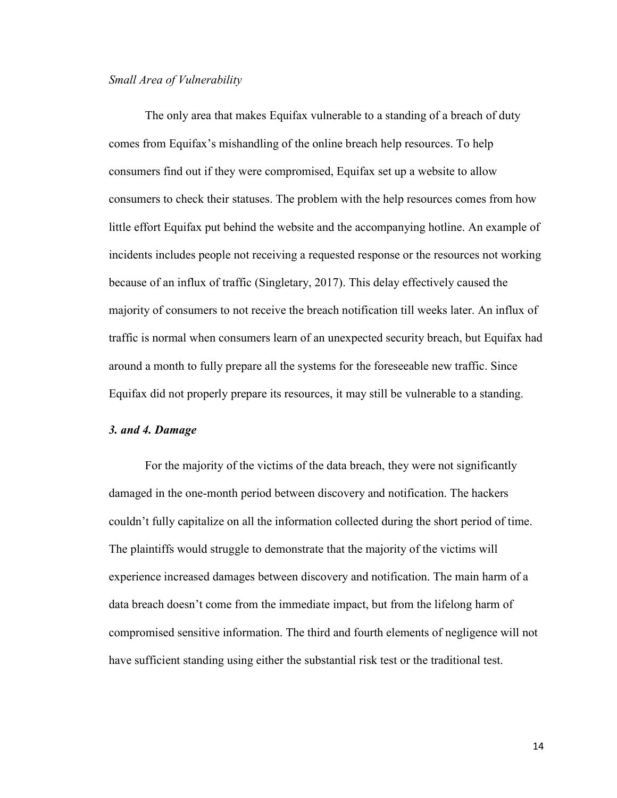#### Small Area of Vulnerability

The only area that makes Equifax vulnerable to a standing of a breach of duty comes from Equifax's mishandling of the online breach help resources. To help consumers find out if they were compromised, Equifax set up a website to allow consumers to check their statuses. The problem with the help resources comes from how little effort Equifax put behind the website and the accompanying hotline. An example of incidents includes people not receiving a requested response or the resources not working because of an influx of traffic (Singletary, 2017). This delay effectively caused the majority of consumers to not receive the breach notification till weeks later. An influx of traffic is normal when consumers learn of an unexpected security breach, but Equifax had around a month to fully prepare all the systems for the foreseeable new traffic. Since Equifax did not properly prepare its resources, it may still be vulnerable to a standing.

## 3. and 4. Damage

For the majority of the victims of the data breach, they were not significantly damaged in the one-month period between discovery and notification. The hackers couldn't fully capitalize on all the information collected during the short period of time. The plaintiffs would struggle to demonstrate that the majority of the victims will experience increased damages between discovery and notification. The main harm of a data breach doesn't come from the immediate impact, but from the lifelong harm of compromised sensitive information. The third and fourth elements of negligence will not have sufficient standing using either the substantial risk test or the traditional test.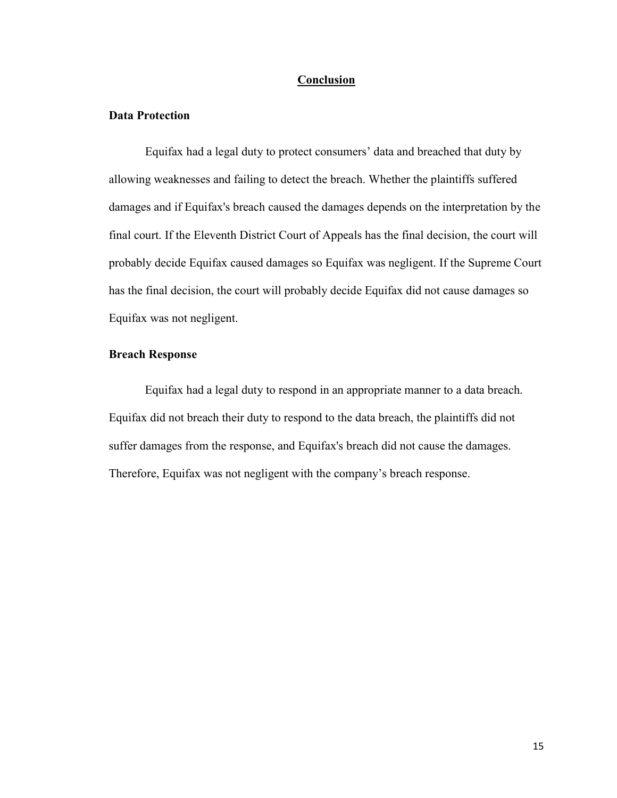#### Conclusion

#### Data Protection

 Equifax had a legal duty to protect consumers' data and breached that duty by allowing weaknesses and failing to detect the breach. Whether the plaintiffs suffered damages and if Equifax's breach caused the damages depends on the interpretation by the final court. If the Eleventh District Court of Appeals has the final decision, the court will probably decide Equifax caused damages so Equifax was negligent. If the Supreme Court has the final decision, the court will probably decide Equifax did not cause damages so Equifax was not negligent.

# Breach Response

Equifax had a legal duty to respond in an appropriate manner to a data breach. Equifax did not breach their duty to respond to the data breach, the plaintiffs did not suffer damages from the response, and Equifax's breach did not cause the damages. Therefore, Equifax was not negligent with the company's breach response.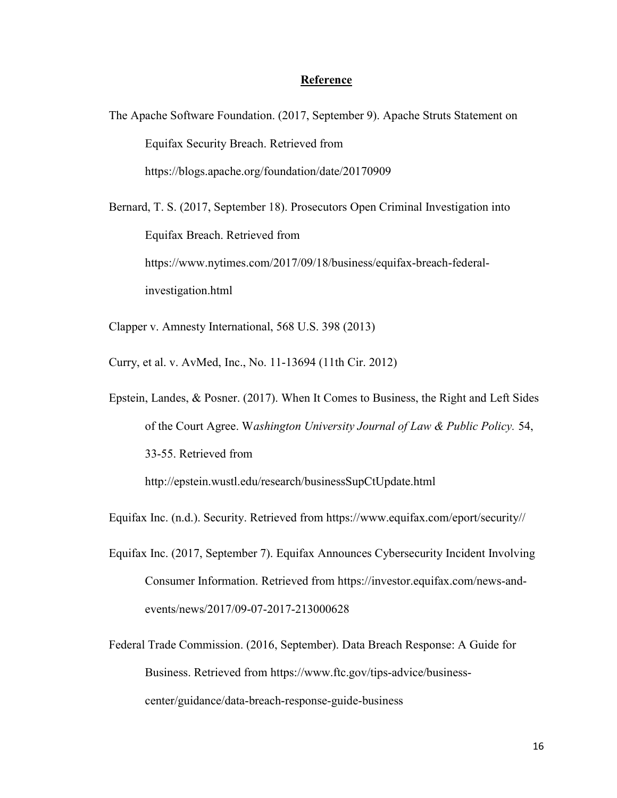## Reference

- The Apache Software Foundation. (2017, September 9). Apache Struts Statement on Equifax Security Breach. Retrieved from https://blogs.apache.org/foundation/date/20170909
- Bernard, T. S. (2017, September 18). Prosecutors Open Criminal Investigation into Equifax Breach. Retrieved from https://www.nytimes.com/2017/09/18/business/equifax-breach-federalinvestigation.html
- Clapper v. Amnesty International, 568 U.S. 398 (2013)
- Curry, et al. v. AvMed, Inc., No. 11-13694 (11th Cir. 2012)
- Epstein, Landes, & Posner. (2017). When It Comes to Business, the Right and Left Sides of the Court Agree. Washington University Journal of Law & Public Policy. 54, 33-55. Retrieved from

http://epstein.wustl.edu/research/businessSupCtUpdate.html

Equifax Inc. (n.d.). Security. Retrieved from https://www.equifax.com/eport/security//

- Equifax Inc. (2017, September 7). Equifax Announces Cybersecurity Incident Involving Consumer Information. Retrieved from https://investor.equifax.com/news-andevents/news/2017/09-07-2017-213000628
- Federal Trade Commission. (2016, September). Data Breach Response: A Guide for Business. Retrieved from https://www.ftc.gov/tips-advice/businesscenter/guidance/data-breach-response-guide-business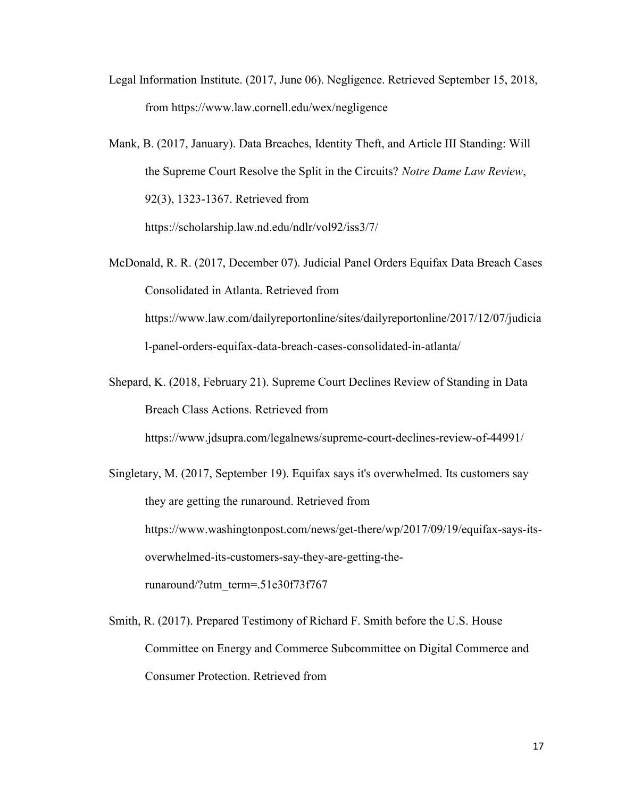Legal Information Institute. (2017, June 06). Negligence. Retrieved September 15, 2018, from https://www.law.cornell.edu/wex/negligence

Mank, B. (2017, January). Data Breaches, Identity Theft, and Article III Standing: Will the Supreme Court Resolve the Split in the Circuits? Notre Dame Law Review, 92(3), 1323-1367. Retrieved from https://scholarship.law.nd.edu/ndlr/vol92/iss3/7/

McDonald, R. R. (2017, December 07). Judicial Panel Orders Equifax Data Breach Cases Consolidated in Atlanta. Retrieved from https://www.law.com/dailyreportonline/sites/dailyreportonline/2017/12/07/judicia l-panel-orders-equifax-data-breach-cases-consolidated-in-atlanta/

Shepard, K. (2018, February 21). Supreme Court Declines Review of Standing in Data Breach Class Actions. Retrieved from

https://www.jdsupra.com/legalnews/supreme-court-declines-review-of-44991/

Singletary, M. (2017, September 19). Equifax says it's overwhelmed. Its customers say they are getting the runaround. Retrieved from https://www.washingtonpost.com/news/get-there/wp/2017/09/19/equifax-says-itsoverwhelmed-its-customers-say-they-are-getting-therunaround/?utm\_term=.51e30f73f767

Smith, R. (2017). Prepared Testimony of Richard F. Smith before the U.S. House Committee on Energy and Commerce Subcommittee on Digital Commerce and Consumer Protection. Retrieved from